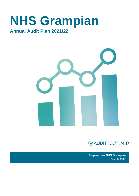# **NHS Grampian**

# **Annual Audit Plan 2021/22**





**Prepared for NHS Grampian**  March 2022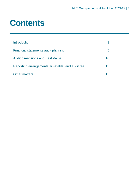# **Contents**

| Introduction                                     |    |
|--------------------------------------------------|----|
| Financial statements audit planning              | b  |
| <b>Audit dimensions and Best Value</b>           | 10 |
| Reporting arrangements, timetable, and audit fee | 13 |
| <b>Other matters</b>                             | 15 |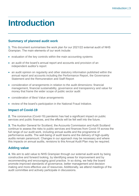# <span id="page-2-0"></span>**Introduction**

# **Summary of planned audit work**

**1.** This document summarises the work plan for our 2021/22 external audit of NHS Grampian. The main elements of our work include:

- evaluation of the key controls within the main accounting systems
- an audit of the board's annual report and accounts and provision of an independent auditor's report
- an audit opinion on regularity and other statutory information published within the annual report and accounts including the Performance Report, the Governance Statement and the Remuneration and Staff Report
- consideration of arrangements in relation to the audit dimensions: financial management, financial sustainability, governance and transparency and value for money that frame the wider scope of public sector audit
- consideration of Best Value arrangements
- review of the board's participation in the National Fraud Initiative.

# **Impact of Covid-19**

**2.** The coronavirus (Covid-19) pandemic has had a significant impact on public services and public finances, and the effects will be felt well into the future.

**3.** The Auditor General for Scotland, the Accounts Commission and Audit Scotland continue to assess the risks to public services and finances from Covid-19 across the full range of our audit work, including annual audits and the programme of performance audits. The well-being of audit teams and the delivery of high-quality audits remain paramount. Changes in our approach may be necessary and where this impacts on annual audits, revisions to this Annual Audit Plan may be required.

# **Adding value**

**4.** We aim to add value to NHS Grampian through our external audit work by being constructive and forward looking, by identifying areas for improvement and by recommending and encouraging good practice. In so doing, we help the board promote improved standards of governance, better management and decision making and more effective use of resources. Additionally, we attend meetings of the audit committee and actively participate in discussions.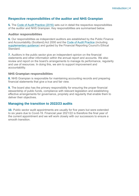# **Respective responsibilities of the auditor and NHS Grampian**

**5.** The [Code of Audit Practice \(2016\)](https://www.audit-scotland.gov.uk/uploads/docs/report/2016/code_audit_practice_16_0.pdf) sets out in detail the respective responsibilities of the auditor and NHS Grampian. Key responsibilities are summarised below.

#### **Auditor responsibilities**

**6.** Our responsibilities as independent auditors are established by the Public Finance and Accountability (Scotland) Act 2000 and the [Code of Audit Practice](https://www.audit-scotland.gov.uk/uploads/docs/report/2016/code_audit_practice_16_0.pdf) (including [supplementary guidance\)](https://www.audit-scotland.gov.uk/uploads/docs/um/code_audit_guidance_16_supp.pdf) and guided by the Financial Reporting Council's Ethical Standard.

**7.** Auditors in the public sector give an independent opinion on the financial statements and other information within the annual report and accounts. We also review and report on the board's arrangements to manage its performance, regularity and use of resources. In doing this, we aim to support improvement and accountability.

#### **NHS Grampian responsibilities**

**8.** NHS Grampian is responsible for maintaining accounting records and preparing financial statements that give a true and fair view.

**9.** The board also has the primary responsibility for ensuring the proper financial stewardship of public funds, compliance with relevant legislation and establishing effective arrangements for governance, propriety and regularity that enable them to deliver their objectives.

# **Managing the transition to 2022/23 audits**

**10.** Public sector audit appointments are usually for five years but were extended to six years due to Covid-19. Financial year 2021/22 is therefore the final year of the current appointment and we will work closely with our successors to ensure a smooth transition.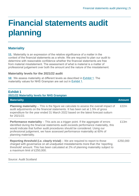# <span id="page-4-0"></span>**Financial statements audit planning**

# **Materiality**

**11.** Materiality is an expression of the relative significance of a matter in the context of the financial statements as a whole. We are required to plan our audit to determine with reasonable confidence whether the financial statements are free from material misstatement. The assessment of what is material is a matter of professional judgement over both the amount and the nature of the misstatement.

#### **Materiality levels for the 2021/22 audit**

**12.** We assess materiality at different levels as described in [Exhibit 1.](#page-4-1) The materiality values for NHS Grampian are set out in [Exhibit 1.](#page-4-1)

### <span id="page-4-1"></span>**Exhibit 1 2021/22 Materiality levels for NHS Grampian**

| <b>Materiality</b>                                                                                                                                                                                                                                                                                                                                                         | <b>Amount</b> |
|----------------------------------------------------------------------------------------------------------------------------------------------------------------------------------------------------------------------------------------------------------------------------------------------------------------------------------------------------------------------------|---------------|
| <b>Planning materiality</b> – This is the figure we calculate to assess the overall impact of<br>audit adjustments on the financial statements. It has been set at 1.5% of gross<br>expenditure for the year ended 31 March 2022 based on the latest forecast outturn<br>for 2021/22.                                                                                      | f22m          |
| <b>Performance materiality</b> – This acts as a trigger point. If the aggregate of errors<br>identified during the financial statements audit exceeds performance materiality, this<br>would indicate that further audit procedures should be considered. Using our<br>professional judgement, we have assessed performance materiality at 60% of<br>planning materiality. | £13m          |
| <b>Reporting threshold (i.e. clearly trivial)</b> – We are required to report to those<br>charged with governance on all unadjusted misstatements more than the 'reporting<br>threshold' amount. This has been calculated at 2% of planning materiality subject to<br>a maximum limit of £250,000.                                                                         | £250,000      |

Source: Audit Scotland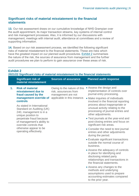# **Significant risks of material misstatement to the financial statements**

**13.** Our risk assessment draws on our cumulative knowledge of NHS Grampian over the audit appointment, its major transaction streams, key systems of internal control and risk management processes. Also, it is informed by our discussions with management, meetings with internal audit, attendance at committees and a review of supporting information.

**14.** Based on our risk assessment process, we identified the following significant risks of material misstatement to the financial statements. These are risks which have the greatest impact on our planned audit procedures. [Exhibit 2](#page-5-0) summarises the nature of the risk, the sources of assurance from management and the further audit procedures we plan to perform to gain assurance over these areas of risk.

#### **2021/22 Significant risks of material misstatement to the financial statements**

<span id="page-5-0"></span>**Exhibit 2**

|    | <b>Significant risk of</b><br>material misstatement                                                                                                                                                                                                                                                         | <b>Sources of assurance</b>                                                                                | <b>Planned audit response</b>                                                                                                                                                                                                                                                                                                                                                                             |
|----|-------------------------------------------------------------------------------------------------------------------------------------------------------------------------------------------------------------------------------------------------------------------------------------------------------------|------------------------------------------------------------------------------------------------------------|-----------------------------------------------------------------------------------------------------------------------------------------------------------------------------------------------------------------------------------------------------------------------------------------------------------------------------------------------------------------------------------------------------------|
| 1. | <b>Risk of material</b><br>misstatement due to<br>fraud caused by the<br>management override of<br>controls<br>As stated in International<br>Standard on Auditing (UK)<br>240, management is in a<br>unique position to<br>perpetrate fraud because<br>of management's ability to<br>override controls that | Owing to the nature of this<br>risk, assurances from<br>management are not<br>applicable in this instance. | • Assess the design and<br>implementation of controls over<br>journal entry processing.<br>• Make inquiries of individuals<br>involved in the financial reporting<br>process about inappropriate or<br>unusual activity relating to the<br>processing of journal entries and<br>other adjustments.<br>• Test journals at the year-end and<br>post-closing entries and focus on<br>significant risk areas. |
|    | otherwise appear to be<br>operating effectively.                                                                                                                                                                                                                                                            | • Consider the need to test journal<br>entries and other adjustments<br>during the period.                 |                                                                                                                                                                                                                                                                                                                                                                                                           |
|    |                                                                                                                                                                                                                                                                                                             |                                                                                                            | • Evaluate significant transactions<br>outside the normal course of<br>business.                                                                                                                                                                                                                                                                                                                          |
|    |                                                                                                                                                                                                                                                                                                             |                                                                                                            | • Assess the adequacy of controls<br>in place for identifying and<br>disclosing related party<br>relationships and transactions in<br>the financial statements.                                                                                                                                                                                                                                           |
|    |                                                                                                                                                                                                                                                                                                             |                                                                                                            | • Assess any changes to the<br>methods and underlying<br>assumptions used to prepare<br>accounting estimates compared<br>to the prior year.                                                                                                                                                                                                                                                               |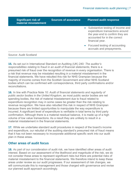| <b>Significant risk of</b><br>material misstatement | <b>Sources of assurance</b> | <b>Planned audit response</b>                                                                                                                               |
|-----------------------------------------------------|-----------------------------|-------------------------------------------------------------------------------------------------------------------------------------------------------------|
|                                                     | $\bullet$                   | Substantive testing of income and<br>expenditure transactions around<br>the year-end to confirm they are<br>accounted for in the correct<br>financial year. |
|                                                     |                             | Focused testing of accounting<br>accruals and prepayments.                                                                                                  |

#### Source: Audit Scotland

**15.** As set out in International Standard on Auditing (UK) 240*: The auditor's responsibilities relating to fraud in an audit of financial statements*, there is a presumed risk of fraud over the recognition of revenue in every organisation. There is a risk that revenue may be misstated resulting in a material misstatement in the financial statements. We have rebutted this risk for NHS Grampian because the majority of income comes from the Scottish Government and other NHS Scotland bodies which can be confirmed with correspondence, third party confirmations and/or reconciliations.

**16.** In line with Practice Note 10: *Audit of financial statements and regularity of public sector bodies in the United Kingdom*, as most public sector bodies are net spending bodies, the risk of material misstatement due to fraud related to expenditure recognition may in some cases be greater than the risk relating to revenue recognition. We have also rebutted this risk in respect of NHS Grampian because there are limited opportunities to manipulate the way expenditure is incurred. A significant level of expenditure is verifiable in total terms by third party confirmation. Although there is a material residual balance, it is made up of a high volume of low value transactions. As a result they are unlikely to result in a material misstatement in the financial statements.

**17.** While we undertake standard audit procedures in respect of the board's income and expenditure, our rebuttal of the auditing standard's presumed risk of fraud means that it has not been necessary to incorporate additional specific work into our audit plan in these areas.

#### **Other areas of audit focus**

**18.** As part of our consideration of audit risk, we have identified other areas of audit interest. Based on our assessment of the likelihood and magnitude of the risk, we do not consider these areas to represent significant risks but there are potential risks of material misstatement to the financial statements. We therefore intend to keep these areas under review as our audit progresses. If our assessment of risk changes, we will communicate this to management and those charged with governance and revise our planned audit approach accordingly.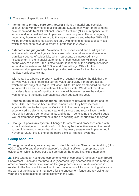**19.** The areas of specific audit focus are:

- **Payments to primary care contractors:** This is a material and complex account area with payments totalling around £250m each year. Improvements have been made by NHS National Services Scotland (NSS) in response to the service auditor's qualified audit opinions in previous years. There is ongoing uncertainty however with regard to this year's opinions and whether NHS NSS will be providing additional assurance on Covid funding in respect of services which continued to have an element of protection in 2021/22.
- **Estimates and judgments:** Valuation of the board's land and buildings and estimates of clinical negligence claims are both material areas and involve a significant degree of subjectivity which represents an increased risk of misstatement in the financial statements. In both cases, we will place reliance on the work of experts – the District Valuer in respect of the assumptions used to revalue the estate and NHS Scotland Central Legal Office for the professional judgement it applies in providing estimates for the clinical and medical negligence claims.

With regard to a board's property, auditors routinely consider the risk that the carrying value does not reflect current value particularly if there are assets which are not subject to regular valuation. NHS Grampian's standard practice is to undertake an annual revaluation of its entire estate. We do not therefore consider this an area of significant risk. We will however review the valuer's work to ensure the same approach has been adopted this year.

- **Reconciliation of IJB transactions:** Transactions between the board and the three IJBs have always been material amounts but they have increased significantly due to the impact of Covid-19. In the previous year, the board experienced a delay in agreeing year end balances and reconciliations with IJBs which created some uncertainty and delay in concluding the board's audit. We recommended improvements and are seeking clearer audit trails this year.
- **Change in pharmacy system**: Changes to systems and processes come with a risk that design and operation of controls may be ineffective leaving the board susceptible to errors and/or fraud. A new pharmacy system was implemented in November 2021, this is one of the board's critical financial systems.

#### **Group accounts**

**20.** As group auditors, we are required under International Standard on Auditing (UK) 600: *Audits of group financial statements* to obtain sufficient appropriate audit evidence on which to base our audit opinion on the group financial statements.

**21.** NHS Grampian has group components which comprise Grampian Health Board Endowment Funds and the three IJBs (Aberdeen City, Aberdeenshire and Moray). In order to provide our audit opinion on the group accounts, our audit evidence in relation to the financial information of the components will include placing reliance on the work of the investment managers for the endowment funds and reviewing the year end reconciliations of transactions with the IJBs.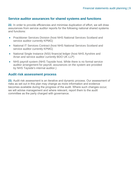# **Service auditor assurances for shared systems and functions**

**22.** In order to provide efficiencies and minimise duplication of effort, we will draw assurances from service auditor reports for the following national shared systems and functions:

- Practitioner Services Division (host NHS National Services Scotland and service auditor currently KPMG)
- National IT Services Contract (host NHS National Services Scotland and service auditor currently KPMG)
- National Single Instance (NSI) financial ledger (host NHS Ayrshire and Arran and service auditor currently BDO UK LLP)
- NHS payroll system (NHS Tayside host. While there is no formal service auditor arrangement for payroll, assurances on the system are provided by NHS Tayside's internal auditor.)

#### **Audit risk assessment process**

**23.** Audit risk assessment is an iterative and dynamic process. Our assessment of risks as set out in this plan may change as more information and evidence becomes available during the progress of the audit. Where such changes occur, we will advise management and where relevant, report them to the audit committee as the party charged with governance.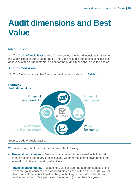# <span id="page-9-0"></span>**Audit dimensions and Best Value**

# **Introduction**

**24.** The Code of [Audit Practice](https://www.audit-scotland.gov.uk/uploads/docs/report/2016/code_audit_practice_16_0.pdf) (the Code) sets out the four dimensions that frame the wider scope of public sector audit. The Code requires auditors to consider the adequacy of the arrangements in place for the audit dimensions in audited bodies.

# **Audit dimensions**

**25.** The four dimensions that frame our audit work are shown in [Exhibit 4.](#page-9-1)

<span id="page-9-1"></span>

#### Source: Code of Audit Practice

**26.** In summary, the four dimensions cover the following:

- **Financial management** financial management is concerned with financial capacity, sound budgetary processes and whether the control environment and internal controls are operating effectively.
- **Financial sustainability** as auditors, we consider the appropriateness of the use of the going concern basis of accounting as part of the annual audit. We will also comment on financial sustainability in the longer term. We define this as medium term (two to five years) and longer term (longer than five years).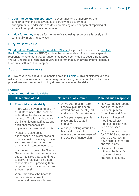- **Governance and transparency** governance and transparency are concerned with the effectiveness of scrutiny and governance arrangements, leadership, and decision-making and transparent reporting of financial and performance information.
- **Value for money** value for money refers to using resources effectively and continually improving services.

# **Duty of Best Value**

**27.** [Ministerial Guidance to Accountable Officers](https://www.gov.scot/publications/best-value-public-services-guidance-accountable-officers/) for public bodies and the [Scottish](https://www.gov.scot/publications/scottish-public-finance-manual/background-and-applicability/background-and-applicability/)  [Public Finance Manual](https://www.gov.scot/publications/scottish-public-finance-manual/background-and-applicability/background-and-applicability/) (SPFM) explain that accountable officers have a specific responsibility to ensure that arrangements have been made to secure Best Value. We will undertake a high-level review to confirm that such arrangements continue to operate within NHS Grampian.

# **Audit dimension risks**

**28.** We have identified audit dimension risks in [Exhibit 6.](#page-10-0) This exhibit sets out the risks, sources of assurance from management arrangements and the further audit procedures we plan to perform to gain assurances over the risks.

<span id="page-10-0"></span>

| <b>Exhibit 6</b><br>2021/22 Audit dimension risks                                                                                                                                                                                                                                                                                                         |                                                                                                                                                                                                                                                                                                                                                                                                                 |  |  |
|-----------------------------------------------------------------------------------------------------------------------------------------------------------------------------------------------------------------------------------------------------------------------------------------------------------------------------------------------------------|-----------------------------------------------------------------------------------------------------------------------------------------------------------------------------------------------------------------------------------------------------------------------------------------------------------------------------------------------------------------------------------------------------------------|--|--|
| <b>Sources of assurance</b>                                                                                                                                                                                                                                                                                                                               | <b>Planned audit response</b>                                                                                                                                                                                                                                                                                                                                                                                   |  |  |
| A five year medium term<br>$\bullet$<br>financial plan has been<br>drafted and will be aligned<br>to the board's new strategy.<br>A five year capital plan is in $\bullet$<br>$\bullet$<br>place and is updated<br>annually.<br>A budget setting group has<br>$\bullet$<br>been established to<br>oversee the development of<br>the 2022/23 finance plan. | • Review finance reports<br>considered by the<br>Leadership Team,<br><b>Committee and Board</b><br>Review minutes of<br>meetings where<br>Finance position has<br>been discussed<br>Review financial plan<br>$\bullet$<br>for 2022/23 and assess<br>board's progress in<br>developing longer-term<br>financial plans<br>Discuss with senior<br>officers the board's<br>plans to address<br>financial pressures. |  |  |
| For the second year, the Scottish                                                                                                                                                                                                                                                                                                                         | payments for junior medical staff.<br>Government is providing revenue                                                                                                                                                                                                                                                                                                                                           |  |  |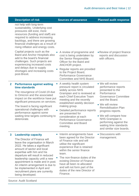|   | <b>Description of risk</b>                                                                                                                                                                                                                                                                                                                                                                                                                  | <b>Sources of assurance</b>                                                                                                                                                                                                                                                                                                                                                   | <b>Planned audit response</b>                                                                                                                                                                                                                                                                                                         |
|---|---------------------------------------------------------------------------------------------------------------------------------------------------------------------------------------------------------------------------------------------------------------------------------------------------------------------------------------------------------------------------------------------------------------------------------------------|-------------------------------------------------------------------------------------------------------------------------------------------------------------------------------------------------------------------------------------------------------------------------------------------------------------------------------------------------------------------------------|---------------------------------------------------------------------------------------------------------------------------------------------------------------------------------------------------------------------------------------------------------------------------------------------------------------------------------------|
|   | not help with long-term<br>sustainability. Underlying cost<br>pressures still exist, more<br>resources (funding and staff) are<br>required to address increasing<br>backlogs, and there are growing<br>financial challenges as a result of<br>rising inflation and energy costs.                                                                                                                                                            |                                                                                                                                                                                                                                                                                                                                                                               |                                                                                                                                                                                                                                                                                                                                       |
|   | Capital projects such as the<br><b>Baird and Anchor Hospitals also</b><br>add to the board's financial<br>challenges. Such projects are<br>experiencing increased costs<br>and delays due to supply<br>shortages and increasing costs<br>post-Brexit.                                                                                                                                                                                       | A review of programme and<br>cost is being undertaken by<br>the Senior Responsible<br>Officer for the Baird and<br><b>ANCHOR</b> project.<br>Regular reports are provided<br>to the Project Board,<br><b>Performance Governance</b><br>Committee and NHS Board.                                                                                                               | • Review of project finance<br>reports and discussion<br>with officers.                                                                                                                                                                                                                                                               |
| 2 | <b>Performance against waiting</b><br>time standards<br>The resurgence of Covid-19 due<br>to Omicron and the associated<br>impact on the workforce have put<br>significant pressures on services.<br>The board is facing significant<br>operational challenges with<br>performance against some<br>waiting time targets continuing to<br>deteriorate.                                                                                       | A weekly health system<br>pressure report is circulated<br>widely across NHS<br>Grampian and is reviewed at<br>each Chief Executive Team<br>meeting and the recently<br>established weekly decision<br>making group.<br>Detailed performance reports<br>are presented for<br>consideration at each<br><b>Performance Governance</b><br><b>Committee and Board</b><br>meeting. | • We will review<br>performance reports<br>presented to the<br>Performance<br><b>Governance Committee</b><br>and the Board.<br>• We will review<br><b>Remobilisation Plan</b><br>progress reports.<br>• We will compare how<br><b>NHS Grampian is</b><br>performing against the<br>waiting time standards<br>and similar size boards. |
| 3 | <b>Leadership capacity</b><br>$\bullet$<br>The Director of Finance will<br>leave the organisation in March<br>2022. He takes a significant<br>amount of sector and local<br>expertise with him and his<br>departure will result in reduced<br>leadership capacity until a new<br>appointment is made and in post.<br>An interim arrangement is due to<br>be implemented in April and<br>recruitment plans are currently<br>being developed. | Interim arrangements have<br>been agreed for the Director<br>of Finance role and will<br>utilise the significant<br>experience that is retained<br>within the senior finance<br>team.<br>The non-finance duties of the<br>existing Director of Finance<br>have all been re-allocated<br>and will not form part of the<br>duties of the new Director of<br>Finance.            | • Discussions with<br>management.                                                                                                                                                                                                                                                                                                     |

Source: Audit Scotland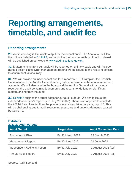# <span id="page-12-0"></span>**Reporting arrangements, timetable, and audit fee**

# **Reporting arrangements**

**29.** Audit reporting is the visible output for the annual audit. The Annual Audit Plan, the outputs detailed in [Exhibit 7,](#page-12-1) and any other outputs on matters of public interest will be published on our website: [www.audit-scotland.gov.uk.](http://www.audit-scotland.gov.uk./)

**30.** Matters arising from our audit will be reported on a timely basis and will include agreed action plans. Draft management reports will be issued to the relevant officers to confirm factual accuracy.

**31.** We will provide an independent auditor's report to NHS Grampian, the Scottish Parliament and the Auditor General setting out our opinions on the annual report and accounts. We will also provide the board and the Auditor General with an annual report on the audit containing judgements and recommendations on significant matters arising from the audit.

**32.** [Exhibit 7](#page-12-1) outlines the target dates for our audit outputs. We aim to issue the independent auditor's report by 31 July 2022 (tbc). There is an appetite to conclude the 2021/22 audit earlier than the previous year as explained at paragraph 33. This will be challenging due to audit resourcing pressures and ongoing demands caused by Covid-19.

#### <span id="page-12-1"></span>**Exhibit 7 2021/22 Audit outputs**

| <b>Audit Output</b>                 | <b>Target date</b> | <b>Audit Committee Date</b> |
|-------------------------------------|--------------------|-----------------------------|
| <b>Annual Audit Plan</b>            | By 31 March 2022   | 22 March 2022               |
| <b>Management Report</b>            | By 30 June 2022    | 21 June 2022                |
| <b>Independent Auditor's Report</b> | By 31 July 2022    | 2 August 2022 (tbc)         |
| <b>Annual Audit Report</b>          | By 31 July 2022    | 2 August 2022 (tbc)         |
|                                     |                    |                             |

Source: Audit Scotland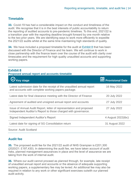# **Timetable**

**33.** Covid-19 has had a considerable impact on the conduct and timeliness of the audit. We recognise that it is in the best interests of public accountability to return the reporting of audited accounts to pre-pandemic timelines. To this end, 2021/22 is a transition year with the reporting deadline brought forward by one month relative to the two prior years. We are identifying ways to work more efficiently to expedite the 2021/22 audits whilst at the same time maintaining high standards of quality.

**34.** We have included a proposed timetable for the audit at [Exhibit 8](#page-13-0) that has been discussed with the Director of Finance and his team. We will continue to work in close partnership with the finance team over the course of the audit with clarity over timescales and the requirement for high quality unaudited accounts and supporting working papers.

### <span id="page-13-0"></span>**Exhibit 8**

**Proposed annual report and accounts timetable**

| $\bigotimes$ Key stage                                                                                                                | LI Provisional Date |
|---------------------------------------------------------------------------------------------------------------------------------------|---------------------|
| Latest submission date for the receipt of the unaudited annual report<br>and accounts with complete working papers package.           | 16 May 2022         |
| Latest date for final clearance meeting with the Director of Finance                                                                  | 20 July 2022        |
| Agreement of audited and unsigned annual report and accounts                                                                          | 27 July 2022        |
| Issue of Annual Audit Report, letter of representation and proposed<br>Independent Auditor's Report to those charged with governance. | 27 July 2022        |
| Signed Independent Auditor's Report                                                                                                   | 4 August 2022(tbc)  |
| Latest date for signing of SG Consolidation return                                                                                    | 31 August 2022      |
| Source: Audit Scotland                                                                                                                |                     |

# **Audit fee**

**35.** The proposed audit fee for the 2021/22 audit of NHS Grampian is £201,300 (2020/21: £197,430). In determining the audit fee, we have taken account of audit risks, planned management assurances in place and the level of assurance we are taking from the work of internal audit.

**36.** Where our audit cannot proceed as planned through, for example, late receipt of unaudited annual report and accounts or the absence of adequate supporting working papers, a supplementary fee may be levied. An additional fee may also be required in relation to any work or other significant exercises outwith our planned audit activity.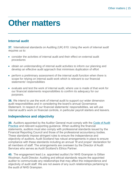# <span id="page-14-0"></span>**Other matters**

# **Internal audit**

**37.** International standards on Auditing (UK) 610: *Using the work of internal audit r*equires us to:

- consider the activities of internal audit and their effect on external audit procedures
- obtain an understanding of internal audit activities to inform our planning and develop an effective audit approach that minimises duplication of effort
- perform a preliminary assessment of the internal audit function when there is scope for relying on internal audit work which is relevant to our financial statements' responsibilities
- evaluate and test the work of internal audit, where use is made of that work for our financial statements responsibilities to confirm its adequacy for our purposes.

**38.** We intend to use the work of internal audit to support our wider dimension audit responsibilities and in considering the board's annual Governance Statement. In respect of our financial statements' responsibilities, we will use internal audit's work on financial controls, in particular payroll starters and leavers.

# **Independence and objectivity**

**39.** Auditors appointed by the Auditor General must comply with the [Code of Audit](https://www.audit-scotland.gov.uk/uploads/docs/report/2016/code_audit_practice_16_0.pdf)  [Practice](https://www.audit-scotland.gov.uk/uploads/docs/report/2016/code_audit_practice_16_0.pdf) and relevant supporting guidance. When auditing the financial statements, auditors must also comply with professional standards issued by the Financial Reporting Council and those of the professional accountancy bodies. These standards impose stringent rules to ensure the independence and objectivity of auditors. Audit Scotland has robust arrangements in place to ensure compliance with these standards including an annual *'fit and proper*' declaration for all members of staff. The arrangements are overseen by the Director of Audit Services who serves as Audit Scotland's Ethics Partner.

**40.** The engagement lead (i.e. appointed auditor) for NHS Grampian is Gillian Woolman, Audit Director. Auditing and ethical standards require the appointed auditor to communicate any relationships that may affect the independence and objectivity of audit staff. We are not aware of any such relationships pertaining to the audit of NHS Grampian.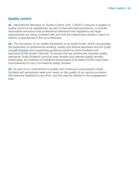### **Quality control**

**41.** International Standard on Quality Control (UK) 1 (ISQC1) requires a system of quality control to be established, as part of financial audit procedures, to provide reasonable assurance that professional standards and regulatory and legal requirements are being complied with and that the independent auditor's report or opinion is appropriate in the circumstances.

**42.** The foundation of our quality framework is our Audit Guide, which incorporates the application of professional auditing, quality and ethical standards and the Code of Audit Practice (and supporting guidance) issued by Audit Scotland and approved by the Auditor General. To ensure that we achieve the required quality standards, Audit Scotland conducts peer reviews and internal quality reviews. Additionally, the Institute of Chartered Accountants of Scotland (ICAS) have been commissioned to carry out external quality reviews.

**43.** As part of our commitment to quality and continuous improvement, Audit Scotland will periodically seek your views on the quality of our service provision. We welcome feedback at any time, and this may be directed to the engagement lead.